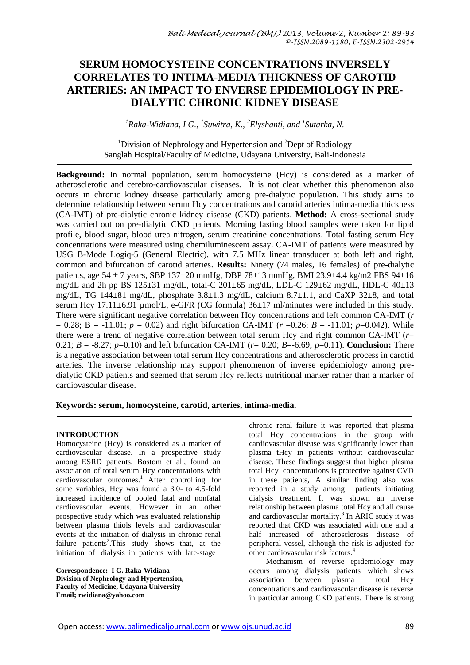# **SERUM HOMOCYSTEINE CONCENTRATIONS INVERSELY CORRELATES TO INTIMA-MEDIA THICKNESS OF CAROTID ARTERIES: AN IMPACT TO ENVERSE EPIDEMIOLOGY IN PRE-DIALYTIC CHRONIC KIDNEY DISEASE**

*<sup>1</sup>Raka-Widiana, I G., 1 Suwitra, K., <sup>2</sup>Elyshanti, and <sup>1</sup> Sutarka, N.*

<sup>1</sup>Division of Nephrology and Hypertension and  ${}^{2}$ Dept of Radiology Sanglah Hospital/Faculty of Medicine, Udayana University, Bali-Indonesia

**Background:** In normal population, serum homocysteine (Hcy) is considered as a marker of atherosclerotic and cerebro-cardiovascular diseases. It is not clear whether this phenomenon also occurs in chronic kidney disease particularly among pre-dialytic population. This study aims to determine relationship between serum Hcy concentrations and carotid arteries intima-media thickness (CA-IMT) of pre-dialytic chronic kidney disease (CKD) patients. **Method:** A cross-sectional study was carried out on pre-dialytic CKD patients. Morning fasting blood samples were taken for lipid profile, blood sugar, blood urea nitrogen, serum creatinine concentrations. Total fasting serum Hcy concentrations were measured using chemiluminescent assay. CA-IMT of patients were measured by USG B-Mode Logiq-5 (General Electric), with 7.5 MHz linear transducer at both left and right, common and bifurcation of carotid arteries. **Results:** Ninety (74 males, 16 females) of pre-dialytic patients, age  $54 \pm 7$  years, SBP  $137 \pm 20$  mmHg, DBP  $78 \pm 13$  mmHg, BMI 23.9 $\pm 4.4$  kg/m2 FBS 94 $\pm 16$ mg/dL and 2h pp BS 125±31 mg/dL, total-C 201±65 mg/dL, LDL-C 129±62 mg/dL, HDL-C 40±13 mg/dL, TG 144 $\pm$ 81 mg/dL, phosphate 3.8 $\pm$ 1.3 mg/dL, calcium 8.7 $\pm$ 1.1, and CaXP 32 $\pm$ 8, and total serum Hcy 17.11±6.91 µmol/L, e-GFR (CG formula)  $36\pm17$  ml/minutes were included in this study. There were significant negative correlation between Hcy concentrations and left common CA-IMT (*r*  $= 0.28$ ; B = -11.01;  $p = 0.02$ ) and right bifurcation CA-IMT ( $r = 0.26$ ;  $B = -11.01$ ;  $p = 0.042$ ). While there were a trend of negative correlation between total serum Hcy and right common CA-IMT (*r*= 0.21;  $B = -8.27$ ;  $p=0.10$ ) and left bifurcation CA-IMT ( $r= 0.20$ ;  $B=-6.69$ ;  $p=0.11$ ). **Conclusion:** There is a negative association between total serum Hcy concentrations and atherosclerotic process in carotid arteries. The inverse relationship may support phenomenon of inverse epidemiology among predialytic CKD patients and seemed that serum Hcy reflects nutritional marker rather than a marker of cardiovascular disease.

**Keywords: serum, homocysteine, carotid, arteries, intima-media.**

### **INTRODUCTION**

Homocysteine (Hcy) is considered as a marker of cardiovascular disease. In a prospective study among ESRD patients, Bostom et al., found an association of total serum Hcy concentrations with cardiovascular outcomes. <sup>1</sup> After controlling for some variables, Hcy was found a 3.0- to 4.5-fold increased incidence of pooled fatal and nonfatal cardiovascular events. However in an other prospective study which was evaluated relationship between plasma thiols levels and cardiovascular events at the initiation of dialysis in chronic renal failure patients<sup>2</sup>. This study shows that, at the initiation of dialysis in patients with late-stage

**Correspondence: I G. Raka-Widiana Division of Nephrology and Hypertension, Faculty of Medicine, Udayana University Email; rwidiana@yahoo.com**

chronic renal failure it was reported that plasma total Hcy concentrations in the group with cardiovascular disease was significantly lower than plasma tHcy in patients without cardiovascular disease. These findings suggest that higher plasma total Hcy concentrations is protective against CVD in these patients, A similar finding also was reported in a study among patients initiating dialysis treatment. It was shown an inverse relationship between plasma total Hcy and all cause and cardiovascular mortality. 3 In ARIC study it was reported that CKD was associated with one and a half increased of atherosclerosis disease of peripheral vessel, although the risk is adjusted for other cardiovascular risk factors. 4

Mechanism of reverse epidemiology may occurs among dialysis patients which shows association between plasma total Hcy concentrations and cardiovascular disease is reverse in particular among CKD patients. There is strong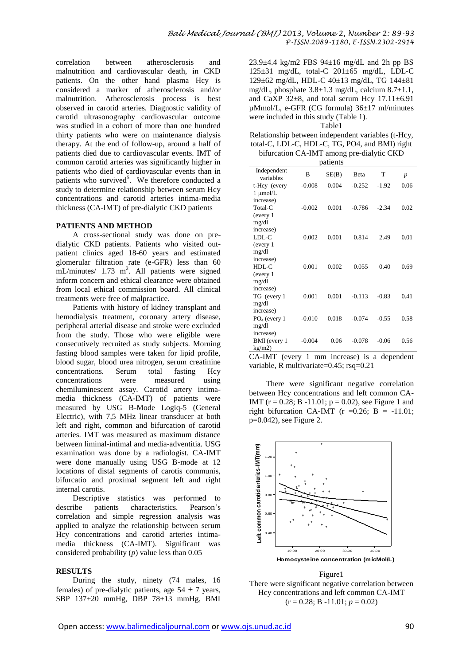correlation between atherosclerosis and malnutrition and cardiovascular death, in CKD patients. On the other hand plasma Hcy is considered a marker of atherosclerosis and/or malnutrition. Atherosclerosis process is best observed in carotid arteries. Diagnostic validity of carotid ultrasonography cardiovascular outcome was studied in a cohort of more than one hundred thirty patients who were on maintenance dialysis therapy. At the end of follow-up, around a half of patients died due to cardiovascular events. IMT of common carotid arteries was significantly higher in patients who died of cardiovascular events than in patients who survived<sup>5</sup>. We therefore conducted a study to determine relationship between serum Hcy concentrations and carotid arteries intima-media thickness (CA-IMT) of pre-dialytic CKD patients

#### **PATIENTS AND METHOD**

A cross-sectional study was done on predialytic CKD patients. Patients who visited outpatient clinics aged 18-60 years and estimated glomerular filtration rate (e-GFR) less than 60  $mL/minutes/ 1.73 m<sup>2</sup>$ . All patients were signed inform concern and ethical clearance were obtained from local ethical commission board. All clinical treatments were free of malpractice.

Patients with history of kidney transplant and hemodialysis treatment, coronary artery disease, peripheral arterial disease and stroke were excluded from the study. Those who were eligible were consecutively recruited as study subjects. Morning fasting blood samples were taken for lipid profile, blood sugar, blood urea nitrogen, serum creatinine<br>concentrations. Serum total fasting Hcy concentrations. Serum total fasting Hcy concentrations were measured using chemiluminescent assay. Carotid artery intimamedia thickness (CA-IMT) of patients were measured by USG B-Mode Logiq-5 (General Electric), with 7,5 MHz linear transducer at both left and right, common and bifurcation of carotid arteries. IMT was measured as maximum distance between liminal-intimal and media-adventitia. USG examination was done by a radiologist. CA-IMT were done manually using USG B-mode at 12 locations of distal segments of carotis communis, bifurcatio and proximal segment left and right internal carotis.

Descriptive statistics was performed to describe patients characteristics. Pearson's correlation and simple regression analysis was applied to analyze the relationship between serum Hcy concentrations and carotid arteries intimamedia thickness (CA-IMT). Significant was considered probability (*p*) value less than 0.05

### **RESULTS**

During the study, ninety (74 males, 16 females) of pre-dialytic patients, age  $54 \pm 7$  years, SBP 137±20 mmHg, DBP 78±13 mmHg, BMI

 $23.9\pm4.4$  kg/m2 FBS  $94\pm16$  mg/dL and 2h pp BS 125±31 mg/dL, total-C 201±65 mg/dL, LDL-C 129±62 mg/dL, HDL-C 40±13 mg/dL, TG 144±81 mg/dL, phosphate 3.8±1.3 mg/dL, calcium 8.7±1.1, and CaXP  $32\pm8$ , and total serum Hcy  $17.11\pm6.91$ µMmol/L, e-GFR (CG formula) 36±17 ml/minutes were included in this study (Table 1). Table1

Relationship between independent variables (t-Hcy, total-C, LDL-C, HDL-C, TG, PO4, and BMI) right bifurcation CA-IMT among pre-dialytic CKD

| patients                 |          |       |          |         |                  |
|--------------------------|----------|-------|----------|---------|------------------|
| Independent<br>variables | B        | SE(B) | Beta     | T       | $\boldsymbol{p}$ |
| t-Hcy (every             | $-0.008$ | 0.004 | $-0.252$ | $-1.92$ | 0.06             |
| 1 μmol/L                 |          |       |          |         |                  |
| increase)                |          |       |          |         |                  |
| Total-C                  | $-0.002$ | 0.001 | $-0.786$ | $-2.34$ | 0.02             |
| (every 1)                |          |       |          |         |                  |
| mg/dl                    |          |       |          |         |                  |
| increase)                |          |       |          |         |                  |
| LDL-C                    | 0.002    | 0.001 | 0.814    | 2.49    | 0.01             |
| (every 1)                |          |       |          |         |                  |
| mg/dl                    |          |       |          |         |                  |
| increase)                |          |       |          |         |                  |
| $HDL-C$                  | 0.001    | 0.002 | 0.055    | 0.40    | 0.69             |
| (every 1                 |          |       |          |         |                  |
| mg/dl                    |          |       |          |         |                  |
| increase)                |          |       |          |         |                  |
| TG (every 1              | 0.001    | 0.001 | $-0.113$ | $-0.83$ | 0.41             |
| mg/dl                    |          |       |          |         |                  |
| increase)                |          |       |          |         |                  |
| $PO4$ (every 1           | $-0.010$ | 0.018 | $-0.074$ | $-0.55$ | 0.58             |
| mg/dl                    |          |       |          |         |                  |
| increase)                |          |       |          |         |                  |
| BMI (every 1             | $-0.004$ | 0.06  | $-0.078$ | $-0.06$ | 0.56             |
| kg/m2)                   |          |       |          |         |                  |

CA-IMT (every 1 mm increase) is a dependent variable, R multivariate=0.45; rsq=0.21

There were significant negative correlation between Hcy concentrations and left common CA-IMT ( $r = 0.28$ ; B -11.01;  $p = 0.02$ ), see Figure 1 and right bifurcation CA-IMT ( $r = 0.26$ ; B = -11.01; p=0.042), see Figure 2.



Figure1 There were significant negative correlation between Hcy concentrations and left common CA-IMT  $(r = 0.28; B -11.01; p = 0.02)$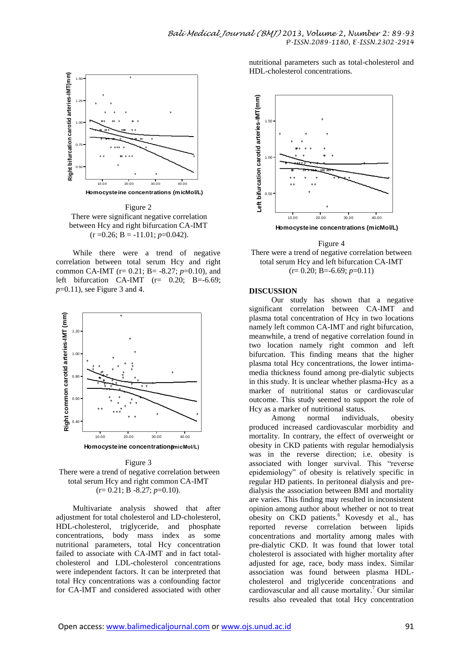

Figure 2 There were significant negative correlation between Hcy and right bifurcation CA-IMT  $(r = 0.26; B = -11.01; p = 0.042).$ 

While there were a trend of negative correlation between total serum Hcy and right common CA-IMT (r= 0.21; B= -8.27; *p*=0.10), and left bifurcation CA-IMT  $(r= 0.20; B=-6.69;$ *p*=0.11), see Figure 3 and 4.



Figure 3 There were a trend of negative correlation between total serum Hcy and right common CA-IMT  $(r= 0.21; B - 8.27; p=0.10).$ 

Multivariate analysis showed that after adjustment for total cholesterol and LD-cholesterol, HDL-cholesterol, triglyceride, and phosphate concentrations, body mass index as some nutritional parameters, total Hcy concentration failed to associate with CA-IMT and in fact totalcholesterol and LDL-cholesterol concentrations were independent factors. It can be interpreted that total Hcy concentrations was a confounding factor for CA-IMT and considered associated with other nutritional parameters such as total-cholesterol and HDL-cholesterol concentrations.



Figure 4 There were a trend of negative correlation between total serum Hcy and left bifurcation CA-IMT  $(r= 0.20; B=-6.69; p=0.11)$ 

#### **DISCUSSION**

Our study has shown that a negative significant correlation between CA-IMT and plasma total concentration of Hcy in two locations namely left common CA-IMT and right bifurcation, meanwhile, a trend of negative correlation found in two location namely right common and left bifurcation. This finding means that the higher plasma total Hcy concentrations, the lower intimamedia thickness found among pre-dialytic subjects in this study. It is unclear whether plasma-Hcy as a marker of nutritional status or cardiovascular outcome. This study seemed to support the role of Hcy as a marker of nutritional status.

Among normal individuals, obesity produced increased cardiovascular morbidity and mortality. In contrary, the effect of overweight or obesity in CKD patients with regular hemodialysis was in the reverse direction; i.e. obesity is associated with longer survival. This "reverse epidemiology" of obesity is relatively specific in regular HD patients. In peritoneal dialysis and predialysis the association between BMI and mortality are varies. This finding may resulted in inconsistent opinion among author about whether or not to treat obesity on CKD patients. <sup>6</sup> Kovesdy et al., has reported reverse correlation between lipids concentrations and mortality among males with pre-dialytic CKD. It was found that lower total cholesterol is associated with higher mortality after adjusted for age, race, body mass index. Similar association was found between plasma HDLcholesterol and triglyceride concentrations and cardiovascular and all cause mortality. <sup>7</sup> Our similar results also revealed that total Hcy concentration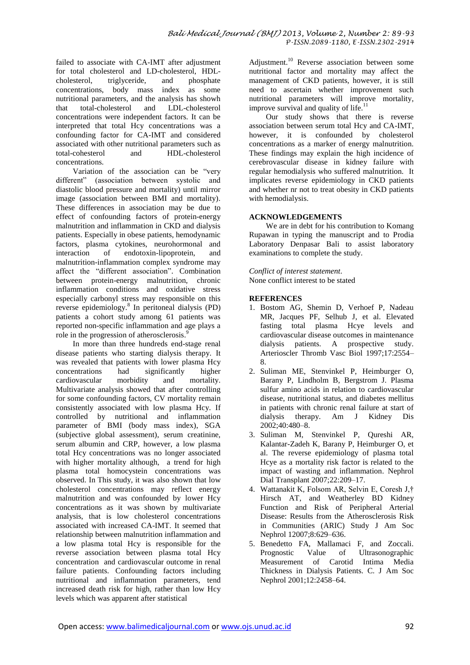failed to associate with CA-IMT after adjustment for total cholesterol and LD-cholesterol, HDLcholesterol, triglyceride, and phosphate concentrations, body mass index as some nutritional parameters, and the analysis has shown<br>that total-cholesterol and LDL-cholesterol LDL-cholesterol concentrations were independent factors. It can be interpreted that total Hcy concentrations was a confounding factor for CA-IMT and considered associated with other nutritional parameters such as<br>total-cohesterol and HDL-cholesterol HDL-cholesterol concentrations.

Variation of the association can be "very different" (association between systolic and diastolic blood pressure and mortality) until mirror image (association between BMI and mortality). These differences in association may be due to effect of confounding factors of protein-energy malnutrition and inflammation in CKD and dialysis patients. Especially in obese patients, hemodynamic factors, plasma cytokines, neurohormonal and interaction of endotoxin-lipoprotein, and malnutrition-inflammation complex syndrome may affect the "different association". Combination between protein-energy malnutrition, chronic inflammation conditions and oxidative stress especially carbonyl stress may responsible on this reverse epidemiology.<sup>8</sup> In peritoneal dialysis (PD) patients a cohort study among 61 patients was reported non-specific inflammation and age plays a role in the progression of atherosclerosis.<sup>9</sup>

In more than three hundreds end-stage renal disease patients who starting dialysis therapy. It was revealed that patients with lower plasma Hcy<br>concentrations bad significantly higher significantly higher cardiovascular morbidity and mortality. Multivariate analysis showed that after controlling for some confounding factors, CV mortality remain consistently associated with low plasma Hcy. If controlled by nutritional and inflammation parameter of BMI (body mass index), SGA (subjective global assessment), serum creatinine, serum albumin and CRP, however, a low plasma total Hcy concentrations was no longer associated with higher mortality although, a trend for high plasma total homocystein concentrations was observed. In This study, it was also shown that low cholesterol concentrations may reflect energy malnutrition and was confounded by lower Hcy concentrations as it was shown by multivariate analysis, that is low cholesterol concentrations associated with increased CA-IMT. It seemed that relationship between malnutrition inflammation and a low plasma total Hcy is responsible for the reverse association between plasma total Hcy concentration and cardiovascular outcome in renal failure patients. Confounding factors including nutritional and inflammation parameters, tend increased death risk for high, rather than low Hcy levels which was apparent after statistical

Adjustment.<sup>10</sup> Reverse association between some nutritional factor and mortality may affect the management of CKD patients, however, it is still need to ascertain whether improvement such nutritional parameters will improve mortality, improve survival and quality of life.<sup>11</sup>

Our study shows that there is reverse association between serum total Hcy and CA-IMT, however, it is confounded by cholesterol concentrations as a marker of energy malnutrition. These findings may explain the high incidence of cerebrovascular disease in kidney failure with regular hemodialysis who suffered malnutrition. It implicates reverse epidemiology in CKD patients and whether nr not to treat obesity in CKD patients with hemodialysis.

# **ACKNOWLEDGEMENTS**

We are in debt for his contribution to Komang Rupawan in typing the manuscript and to Prodia Laboratory Denpasar Bali to assist laboratory examinations to complete the study.

*Conflict of interest statement*. None conflict interest to be stated

## **REFERENCES**

- 1. Bostom AG, Shemin D, Verhoef P, Nadeau MR, Jacques PF, Selhub J, et al. Elevated fasting total plasma Hcye levels and cardiovascular disease outcomes in maintenance dialysis patients. A prospective study. Arterioscler Thromb Vasc Biol 1997;17:2554– 8.
- 2. Suliman ME, Stenvinkel P, Heimburger O, Barany P, Lindholm B, Bergstrom J. Plasma sulfur amino acids in relation to cardiovascular disease, nutritional status, and diabetes mellitus in patients with chronic renal failure at start of dialysis therapy. Am J Kidney Dis 2002;40:480–8.
- 3. Suliman M, Stenvinkel P, Qureshi AR, Kalantar-Zadeh K, Barany P, Heimburger O, et al. The reverse epidemiology of plasma total Hcye as a mortality risk factor is related to the impact of wasting and inflammation. Nephrol Dial Transplant 2007;22:209–17.
- 4. Wattanakit K, Folsom AR, Selvin E, Coresh J,† Hirsch AT, and Weatherley BD Kidney Function and Risk of Peripheral Arterial Disease: Results from the Atherosclerosis Risk in Communities (ARIC) Study J Am Soc Nephrol 12007;8:629–636.
- 5. Benedetto FA, Mallamaci F, and Zoccali. Prognostic Value of Ultrasonographic Measurement of Carotid Intima Media Thickness in Dialysis Patients. C. J Am Soc Nephrol 2001;12:2458–64.